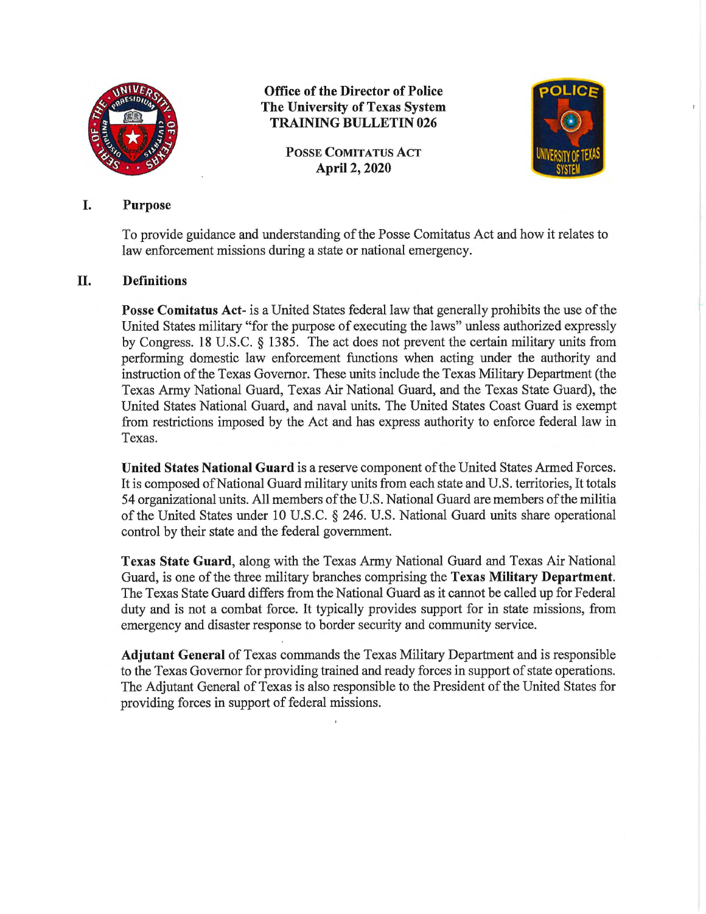

**Office of the Director of Police The University of Texas System TRAINING BULLETIN 026** 

> **POSSE COMITATUS ACT April 2, 2020**



## I. **Purpose**

To provide guidance and understanding of the Posse Comitatus Act and how it relates to law enforcement missions during a state or national emergency.

## II. **Definitions**

**Posse Comitatus Act-** is a United States federal law that generally prohibits the use of the United States military "for the purpose of executing the laws" unless authorized expressly by Congress. 18 U.S.C. § 1385. The act does not prevent the certain military units from performing domestic law enforcement functions when acting under the authority and instruction of the Texas Governor. These units include the Texas Military Department (the Texas Army National Guard, Texas Air National Guard, and the Texas State Guard), the United States National Guard, and naval units. The United States Coast Guard is exempt from restrictions imposed by the Act and has express authority to enforce federal law in Texas.

**United States National Guard** is a reserve component of the United States Armed Forces. It is composed of National Guard military units from each state and U.S. territories, It totals 54 organizational units. All members of the U.S. National Guard are members of the militia of the United States under 10 U.S.C. § 246. U.S. National Guard units share operational control by their state and the federal government.

**Texas State Guard,** along with the Texas Almy National Guard and Texas Air National Guard, is one of the three military branches comprising the **Texas Military Department.**  The Texas State Guard differs from the National Guard as it cannot be called up for Federal duty and is not a combat force. It typically provides support for in state missions, from emergency and disaster response to border security and community service.

**Adjutant General** of Texas commands the Texas Military Department and is responsible to the Texas Governor for providing trained and ready forces in support of state operations. The Adjutant General of Texas is also responsible to the President of the United States for providing forces in support of federal missions.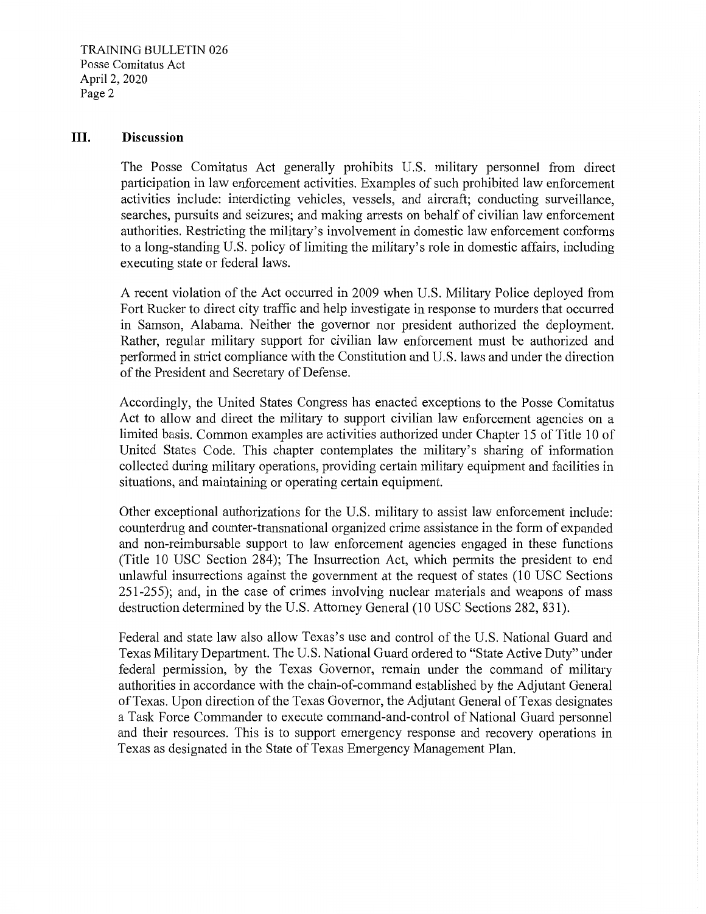TRAINING BULLETIN 026 Posse Comitatus Act April 2, 2020 Page 2

## **III. Discussion**

The Posse Comitatus Act generally prohibits U.S. military personnel from direct participation in law enforcement activities. Examples of such prohibited law enforcement activities include: interdicting vehicles, vessels, and aircraft; conducting surveillance, searches, pursuits and seizures; and making arrests on behalf of civilian law enforcement authorities. Restricting the military's involvement in domestic law enforcement conforms to a long-standing U.S. policy of limiting the military's role in domestic affairs, including executing state or federal laws.

A recent violation of the Act occurred in 2009 when U.S. Military Police deployed from Fort Rucker to direct city traffic and help investigate in response to murders that occurred in Samson, Alabama. Neither the governor nor president authorized the deployment. Rather, regular military support for civilian law enforcement must be authorized and performed in strict compliance with the Constitution and U.S. laws and under the direction of the President and Secretary of Defense.

Accordingly, the United States Congress has enacted exceptions to the Posse Comitatus Act to allow and direct the military to support civilian law enforcement agencies on a limited basis. Common examples are activities authorized under Chapter 15 of Title 10 of United States Code. This chapter contemplates the military's sharing of information collected during military operations, providing certain military equipment and facilities in situations, and maintaining or operating certain equipment.

Other exceptional authorizations for the U.S. military to assist law enforcement include: counterdrug and counter-transnational organized crime assistance in the form of expanded and non-reimbursable support to law enforcement agencies engaged in these functions (Title 10 USC Section 284); The Insurrection Act, which permits the president to end unlawful insurrections against the government at the request of states (10 USC Sections 251-255); and, in the case of crimes involving nuclear materials and weapons of mass destruction determined by the U.S. Attorney General (10 USC Sections 282, 831).

Federal and state law also allow Texas's use and control of the U.S. National Guard and Texas Military Department. The U.S. National Guard ordered to "State Active Duty" under federal permission, by the Texas Governor, remain under the command of military authorities in accordance with the chain-of-command established by the Adjutant General of Texas. Upon direction of the Texas Governor, the Adjutant General of Texas designates a Task Force Commander to execute command-and-control of National Guard personnel and their resources. This is to support emergency response and recovery operations in Texas as designated in the State of Texas Emergency Management Plan.